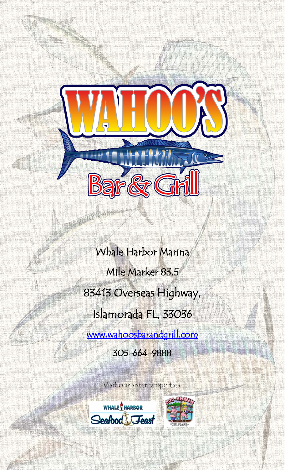Whale Harbor Marina Mile Marker 83.5 83413 Overseas Highway, Islamorada FL, 33036

电电话

[www.wahoosbarandgrill.com](http://www.wahoosbarandgrill.com/) 

305-664-9888

Visit our sister properties:





自由主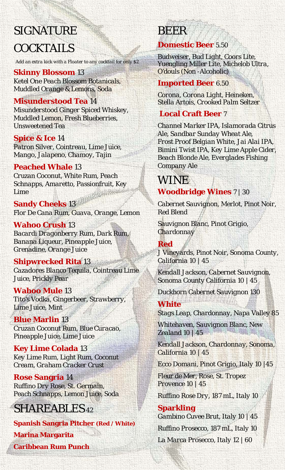## SIGNATURE **COCKTAILS**

*Add an extra kick with a Floater to any cocktail for only \$2*

**Skinny Blossom** 13 *Ketel One Peach Blossom Botanicals, Muddled Orange & Lemons, Soda*

### **Misunderstood Tea** 14

*Misunderstood Ginger Spiced Whiskey, Muddled Lemon, Fresh Blueberries, Unsweetened Tea*

**Spice & Ice** 14 *Patron Silver, Cointreau, Lime Juice, Mango, Jalapeno, Chamoy, Tajin*

#### **Peached Whale** 13

*Cruzan Coconut, White Rum, Peach Schnapps, Amaretto, Passionfruit, Key Lime*

**Sandy Cheeks** 13 *Flor De Cana Rum, Guava, Orange, Lemon* 

**Wahoo Crush** 13 *Bacardi Dragonberry Rum, Dark Rum, Banana Liqueur, Pineapple Juice, Grenadine, Orange Juice* 

**Shipwrecked Rita** 13 *Cazadores Blanco Tequila, Cointreau Lime Juice, Prickly Pear* 

**Wahoo Mule** 13 *Tito's Vodka, Gingerbeer, Strawberry, Lime Juice, Mint*

**Blue Marlin** 13 *Cruzan Coconut Rum, Blue Curacao, Pineapple Juice, Lime Juice*

**Key Lime Colada** 13 *Key Lime Rum, Light Rum, Coconut Cream, Graham Cracker Crust*

**Rose Sangria** 14 *Ruffino Dry Rose, St. Germain, Peach Schnapps, Lemon Juice, Soda*

### SHAREABLES *<sup>42</sup>*

**Spanish Sangria Pitcher** *(Red / White)* **Marina Margarita Caribbean Rum Punch** 

# BEER

### **Domestic Beer** *5.50*

*Budweiser, Bud Light, Coors Lite, Yuengling Miller Lite, Michelob Ultra, O'douls (Non -Alcoholic)* 

#### **Imported Beer** *6.50*

*Corona, Corona Light, Heineken, Stella Artois, Crooked Palm Seltzer*

### **Local Craft Beer** *7*

*Channel Marker IPA, Islamorada Citrus Ale, Sandbar Sunday Wheat Ale, Frost Proof Belgian White, Jai Alai IPA, Bimini Twist IPA, Key Lime Apple Cider, Beach Blonde Ale, Everglades Fishing Company Ale*

# **WINE**

### **Woodbridge Wines** *7 | 30*

*Cabernet Sauvignon, Merlot, Pinot Noir, Red Blend* 

*Sauvignon Blanc, Pinot Grigio, Chardonnay*

### **Red**

*J Vineyards, Pinot Noir, Sonoma County, California 10 | 45*

*Kendall Jackson, Cabernet Sauvignon, Sonoma County California 10 | 45*

*Duckhorn Cabernet Sauvignon 130*

### **White**

*Stags Leap, Chardonnay, Napa Valley 85*

*Whitehaven, Sauvignon Blanc, New Zealand 10 | 45*

*Kendall Jackson, Chardonnay, Sonoma, California 10 | 45*

*Ecco Domani, Pinot Grigio, Italy 10 |45*

*Fleur de Mer, Rose, St. Tropez Provence 10 | 45*

*Ruffino Rose Dry, 187 mL, Italy 10*

#### **Sparkling**

*Gambino Cuvee Brut, Italy 10 | 45 Ruffino Prosecco, 187 mL, Italy 10 La Marca Prosecco, Italy 12 | 60*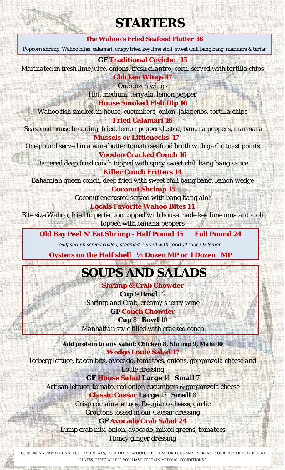### **STARTERS**

#### **The Wahoo's Fried Seafood Platter 36**

Popcorn shrimp, Wahoo bites, calamari, crispy fries, key lime aioli, sweet chili bang bang, marinara & tartar

**GF Traditional Ceviche 15**

*Marinated in fresh lime juice, onions, fresh cilantro, corn, served with tortilla chips* **Chicken Wings 17**

*One dozen wings*

*Hot, medium, teriyaki, lemon pepper*

**House Smoked Fish Dip 16**

*Wahoo fish smoked in house, cucumbers, onion, jalapeños, tortilla chips* **Fried Calamari 16**

*Seasoned house breading, fried, lemon pepper dusted, banana peppers, marinara* **Mussels or Littlenecks 17**

*One pound served in a wine butter tomato seafood broth with garlic toast points Voodoo Cracked Conch 16*

*Battered deep fried conch topped with spicy sweet chili bang bang sauce* 

**Killer Conch Fritters 14** *Bahamian queen conch, deep fried with sweet chili bang bang, lemon wedge*

> **Coconut Shrimp 15** *Coconut encrusted served with bang bang aioli* **Locals Favorite Wahoo Bites 14**

*Bite size Wahoo, fried to perfection topped with house made key lime mustard aioli topped with banana peppers*

**Old Bay Peel N' Eat Shrimp - Half Pound 15 Full Pound 24**

 *Gulf shrimp served chilled, steamed, served with cocktail sauce & lemon*

**Oysters on the Half shell ½ Dozen MP or 1 Dozen MP**

## **SOUPS AND SALADS**

**Shrimp & Crab Chowder** *Cup 9 Bowl 12 Shrimp and Crab, creamy sherry wine*

**GF Conch Chowder**  *Cup 8 Bowl 10 Manhattan style filled with cracked conch*

*Add protein to any salad: Chicken 8, Shrimp 9, Mahi 10* **Wedge Louie Salad 17**

*Iceberg lettuce, bacon bits, avocado, tomatoes, onions, gorgonzola cheese and Louie dressing*

**GF** *House Salad Large 14 Small 7 Artisan lettuce, tomato, red onion cucumbers & gorgonzola cheese* **Classic Caesar** *Large 15 Small 8 Crisp romaine lettuce, Reggiano cheese, garlic Croutons tossed in our Caesar dressing*

**GF Avocado Crab Salad 24**

*Lump crab mix, onion, avocado, mixed greens, tomatoes Honey ginger dressing*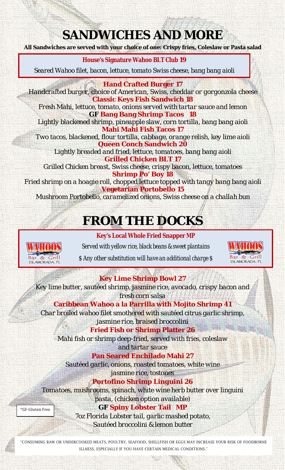## **SANDWICHES AND MORE**

**All Sandwiches are served with your choice of one: Crispy fries, Coleslaw or Pasta salad**

#### **House's Signature Wahoo BLT Club 19**

*Seared Wahoo filet, bacon, lettuce, tomato Swiss cheese, bang bang aioli* 

#### **Hand Crafted Burger 17**

*Handcrafted burger, choice of American, Swiss, cheddar or gorgonzola cheese* **Classic Keys Fish Sandwich 18**

*Fresh Mahi, lettuce, tomato, onions served with tartar sauce and lemon* **GF Bang Bang Shrimp Tacos 18**

*Lightly blackened shrimp, pineapple slaw, corn tortilla, bang bang aioli* **Mahi Mahi Fish Tacos 17**

*Two tacos, blackened, flour tortilla, cabbage, orange relish, key lime aioli* **Queen Conch Sandwich 20**

*Lightly breaded and fried, lettuce, tomatoes, bang bang aioli* **Grilled Chicken BLT 17**

*Grilled Chicken breast, Swiss cheese, crispy bacon, lettuce, tomatoes* **Shrimp Po' Boy 18**

*Fried shrimp on a hoagie roll, chopped lettuce topped with tangy bang bang aioli* **Vegetarian Portobello 15**

*Mushroom Portobello, caramelized onions, Swiss cheese on a challah bun*

## **FROM THE DOCKS**



**Key's Local Whole Fried Snapper MP** *Served with yellow rice, black beans & sweet plantains \$ Any other substitution will have an additional charge \$*



**Key Lime Shrimp Bowl 27**

*Key lime butter, sautéed shrimp, jasmine rice, avocado, crispy bacon and fresh corn salsa*

**Caribbean Wahoo a la Parrilla with Mojito Shrimp 41** *Char broiled wahoo filet smothered with sautéed citrus garlic shrimp,* 

*jasmine rice, braised broccolini* **Fried Fish or Shrimp Platter 26**

*Mahi fish or shrimp deep-fried, served with fries, coleslaw* 

*and tartar sauce*

**Pan Seared Enchilado Mahi 27**

*Sautéed garlic, onions, roasted tomatoes, white wine jasmine rice, tostones*

### *Portofino Shrimp Linguini 26*

*Tomatoes, mushrooms, spinach, white wine herb butter over linguini pasta, (chicken option available)*

\*GF-Gluten Free

**GF Spiny Lobster Tail MP** *7oz Florida Lobster tail, garlic mashed potato, Sautéed broccolini & lemon butter*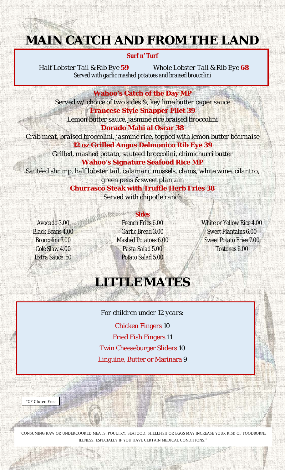## **MAIN CATCH AND FROM THE LAND**

#### **Surf n' Turf**

*Half Lobster Tail & Rib Eye 59 Whole Lobster Tail & Rib Eye 68 Served with garlic mashed potatoes and braised broccolini*

**Wahoo's Catch of the Day MP**

*Served w/ choice of two sides &, key lime butter caper sauce* **Francese Style Snapper Filet 39** *Lemon butter sauce, jasmine rice braised broccolini*

**Dorado Mahi al Oscar 38** *Crab meat, braised broccolini, jasmine rice, topped with lemon butter béarnaise* **12 oz Grilled Angus Delmonico Rib Eye 39** *Grilled, mashed potato, sautéed broccolini, chimichurri butter* **Wahoo's Signature Seafood Rice MP** *Sautéed shrimp, half lobster tail, calamari, mussels, clams, white wine, cilantro,*

> *green peas & sweet plantain* **Churrasco Steak with Truffle Herb Fries 38** *Served with chipotle ranch*

*Avocado 3.00 Black Beans 4.00 Broccolini 7.00 Cole Slaw 4.00 Extra Sauce .50*

**Sides** *French Fries 6.00 Garlic Bread 3.00 Mashed Potatoes 6.00 Pasta Salad 5.00 Potato Salad 5.00*

*White or Yellow Rice 4.00 Sweet Plantains 6.00 Sweet Potato Fries 7.00 Tostones 6.00*

## **LITTLEMATES**

*For children under 12 years:* Chicken Fingers 10 Fried Fish Fingers 11 Twin Cheeseburger Sliders 10 Linguine, Butter or Marinara 9

\*GF-Gluten Free